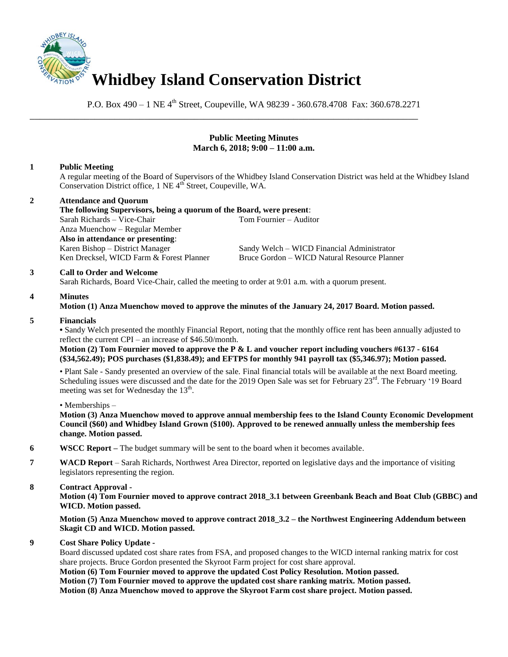

P.O. Box 490 – 1 NE 4<sup>th</sup> Street, Coupeville, WA 98239 - 360.678.4708 Fax: 360.678.2271

## **Public Meeting Minutes March 6, 2018; 9:00 – 11:00 a.m.**

# **1 Public Meeting**

A regular meeting of the Board of Supervisors of the Whidbey Island Conservation District was held at the Whidbey Island Conservation District office, 1 NE 4<sup>th</sup> Street, Coupeville, WA.

**2 Attendance and Quorum The following Supervisors, being a quorum of the Board, were present**: Sarah Richards – Vice-Chair Tom Fournier – Auditor Anza Muenchow – Regular Member **Also in attendance or presenting**: Karen Bishop – District Manager Sandy Welch – WICD Financial Administrator Ken Drecksel, WICD Farm & Forest Planner Bruce Gordon – WICD Natural Resource Planner

\_\_\_\_\_\_\_\_\_\_\_\_\_\_\_\_\_\_\_\_\_\_\_\_\_\_\_\_\_\_\_\_\_\_\_\_\_\_\_\_\_\_\_\_\_\_\_\_\_\_\_\_\_\_\_\_\_\_\_\_\_\_\_\_\_\_\_\_\_\_\_\_\_\_\_\_\_\_

### **3 Call to Order and Welcome**

Sarah Richards, Board Vice-Chair, called the meeting to order at 9:01 a.m. with a quorum present.

### **4 Minutes**

#### **Motion (1) Anza Muenchow moved to approve the minutes of the January 24, 2017 Board. Motion passed.**

#### **5 Financials**

**•** Sandy Welch presented the monthly Financial Report, noting that the monthly office rent has been annually adjusted to reflect the current CPI – an increase of \$46.50/month.

**Motion (2) Tom Fournier moved to approve the P & L and voucher report including vouchers #6137 - 6164 (\$34,562.49); POS purchases (\$1,838.49); and EFTPS for monthly 941 payroll tax (\$5,346.97); Motion passed.** 

• Plant Sale - Sandy presented an overview of the sale. Final financial totals will be available at the next Board meeting. Scheduling issues were discussed and the date for the 2019 Open Sale was set for February 23<sup>rd</sup>. The February '19 Board meeting was set for Wednesday the 13<sup>th</sup>.

#### • Memberships –

**Motion (3) Anza Muenchow moved to approve annual membership fees to the Island County Economic Development Council (\$60) and Whidbey Island Grown (\$100). Approved to be renewed annually unless the membership fees change. Motion passed.**

- **6 WSCC Report –** The budget summary will be sent to the board when it becomes available.
- **7 WACD Report**  Sarah Richards, Northwest Area Director, reported on legislative days and the importance of visiting legislators representing the region.

## **8 Contract Approval -**

**Motion (4) Tom Fournier moved to approve contract 2018\_3.1 between Greenbank Beach and Boat Club (GBBC) and WICD. Motion passed.**

**Motion (5) Anza Muenchow moved to approve contract 2018\_3.2 – the Northwest Engineering Addendum between Skagit CD and WICD. Motion passed.**

## **9 Cost Share Policy Update -**

Board discussed updated cost share rates from FSA, and proposed changes to the WICD internal ranking matrix for cost share projects. Bruce Gordon presented the Skyroot Farm project for cost share approval.

**Motion (6) Tom Fournier moved to approve the updated Cost Policy Resolution. Motion passed. Motion (7) Tom Fournier moved to approve the updated cost share ranking matrix. Motion passed. Motion (8) Anza Muenchow moved to approve the Skyroot Farm cost share project. Motion passed.**